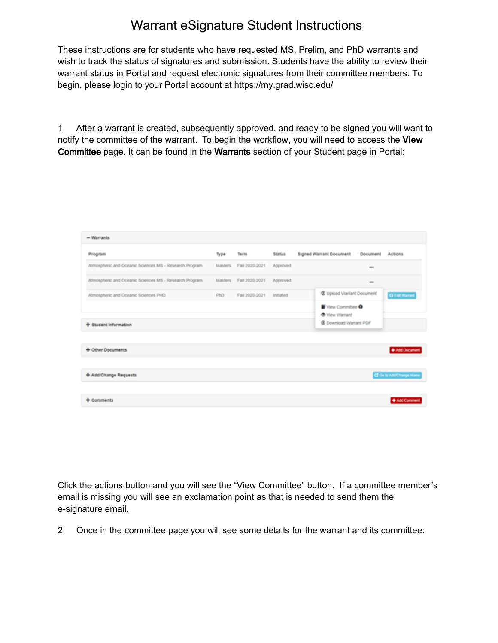## Warrant eSignature Student Instructions

These instructions are for students who have requested MS, Prelim, and PhD warrants and wish to track the status of signatures and submission. Students have the ability to review their warrant status in Portal and request electronic signatures from their committee members. To begin, please login to your Portal account at https://my.grad.wisc.edu/

1. After a warrant is created, subsequently approved, and ready to be signed you will want to notify the committee of the warrant. To begin the workflow, you will need to access the **View**  Committee page. It can be found in the **W**arrant**s** section of your Student page in Portal:

| - Warrants                                             |         |                        |               |                                                |              |                                 |
|--------------------------------------------------------|---------|------------------------|---------------|------------------------------------------------|--------------|---------------------------------|
| Program                                                | Type    | Term                   | <b>Status</b> | <b>Signed Warrant Document</b>                 | Document     | Actions                         |
| Atmospheric and Oceanic Sciences MS - Research Program | Masters | Fall 2020-2021         | Approved      |                                                | $\leftarrow$ |                                 |
| Atmospheric and Oceanic Sciences MS - Research Program |         | Masters Fall 2020-2021 | Approved      |                                                | $\sim$       |                                 |
| Atmospheric and Oceanic Sciences PHD                   | PtiD    | Fall 2020-2021         | Initiated     | @ Upload Warrant Document                      |              | <b>GEM Harrant</b>              |
|                                                        |         |                        |               | View Committee O                               |              |                                 |
| + Student Information                                  |         |                        |               | <b>O</b> Vew Warrant<br>C Download Warrant PDF |              |                                 |
|                                                        |         |                        |               |                                                |              |                                 |
| + Other Documents                                      |         |                        |               |                                                |              | + Add Document                  |
| + Add/Change Requests                                  |         |                        |               |                                                |              | <b>CF Go to Add/Change Home</b> |
|                                                        |         |                        |               |                                                |              |                                 |
| $+$ Comments                                           |         |                        |               |                                                |              | + Add Comment                   |

Click the actions button and you will see the "View Committee" button. If a committee member's email is missing you will see an exclamation point as that is needed to send them the e-signature email.

2. Once in the committee page you will see some details for the warrant and its committee: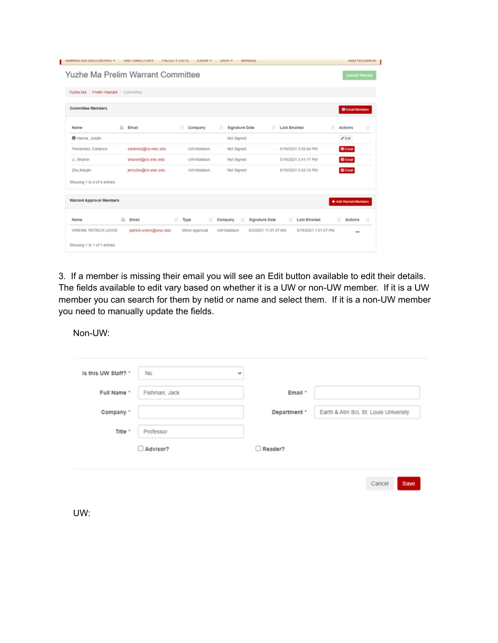| AUMINISTEN UISCUVENNU *               | UNIT UPGECTURY         | <b><i>FACULIT LISTS</i></b><br><b>ESIGN +</b> | <b>MANAUE</b><br><b>UAIA +</b>        |                                              | ALIU FEEUBAUK          |
|---------------------------------------|------------------------|-----------------------------------------------|---------------------------------------|----------------------------------------------|------------------------|
| Yuzhe Ma Prelim Warrant Committee     |                        |                                               |                                       |                                              | <b>Submit Warrant</b>  |
| Yuzhe Ma / Prelim Warrant / Committee |                        |                                               |                                       |                                              |                        |
| <b>Committee Members</b>              |                        |                                               |                                       |                                              | <b>C Email Members</b> |
| Name                                  | IX.<br>Email           | л<br>Company                                  | <b>Signature Date</b><br>п            | <b>Last Emailed</b><br>п                     | 11<br>m<br>Actions     |
| O Hanna, Josiah                       |                        |                                               | Not Signed                            |                                              | $E$ 601                |
| Fernandes, Earlance                   | earlence@cs.wisc.edu   | UW-Madison                                    | Not Signed                            | 5/19/2021 3:39:44 PM                         | <b>C</b> Email         |
| LL Sharon                             | sharonli@cs.wisc.edu   | UW-Madison                                    | Not Signed                            | 5/19/2021 3:41:17 PM                         | <b>D</b> Email         |
| Zhu, Xiaojin                          | jerryzhu@cs.wisc.edu   | UW-Madison                                    | Not Signed                            | 5/19/2021 3:42 13 PM                         | <b>CD</b> Email        |
| Showing 1 to 4 of 4 entries           |                        |                                               |                                       |                                              |                        |
| <b>Warrant Approval Members</b>       |                        |                                               |                                       |                                              | + Add Warrant Members  |
| Name                                  | 1h<br>Email            | 11<br>Type<br>и                               | <b>Signature Date</b><br>и<br>Company | <b>Last Emailed</b><br>и                     | и<br>и<br>Actions      |
| WRENN, PATRICK LEWIS                  | patrick wrenn@wisc.edu | Minor Approval                                | UW-Madison                            | 6/3/2021 11:01:47 AM<br>5/19/2021 1:01:07 PM | $\cdots$               |
| Showing 1 to 1 of 1 entries           |                        |                                               |                                       |                                              |                        |

3. If a member is missing their email you will see an Edit button available to edit their details. The fields available to edit vary based on whether it is a UW or non-UW member. If it is a UW member you can search for them by netid or name and select them. If it is a non-UW member you need to manually update the fields.

Non-UW:

| Is this UW Staff? * | No            | $\checkmark$ |              |                                       |      |
|---------------------|---------------|--------------|--------------|---------------------------------------|------|
| Full Name *         | Fishman, Jack |              | Email *      |                                       |      |
| Company *           |               |              | Department * | Earth & Atm Sci, St. Louis University |      |
| Title *             | Professor     |              |              |                                       |      |
|                     | Advisor?      |              | Reader?      |                                       |      |
|                     |               |              |              | Cancel                                | Save |

UW: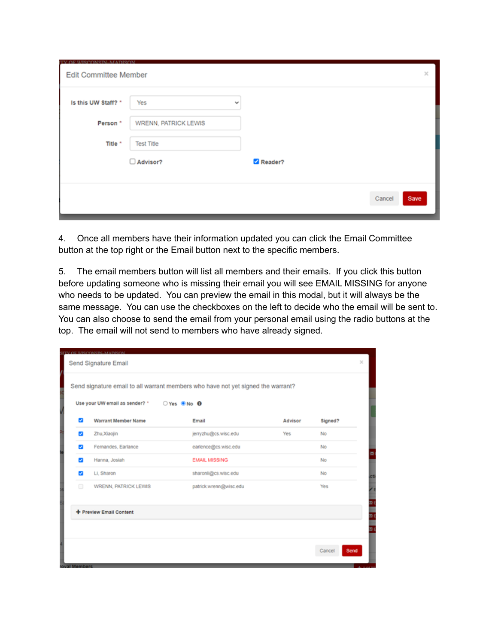| TV OF UJSCOMSIN MADISON<br><b>Edit Committee Member</b> |                      |              | $\boldsymbol{\times}$ |
|---------------------------------------------------------|----------------------|--------------|-----------------------|
| Is this UW Staff? *                                     | Yes                  | $\checkmark$ |                       |
| Person*                                                 | WRENN, PATRICK LEWIS |              |                       |
| Title *                                                 | <b>Test Title</b>    |              |                       |
|                                                         | Advisor?             | Reader?      |                       |
|                                                         |                      |              |                       |
|                                                         |                      |              | Cancel<br>Save        |

4. Once all members have their information updated you can click the Email Committee button at the top right or the Email button next to the specific members.

5. The email members button will list all members and their emails. If you click this button before updating someone who is missing their email you will see EMAIL MISSING for anyone who needs to be updated. You can preview the email in this modal, but it will always be the same message. You can use the checkboxes on the left to decide who the email will be sent to. You can also choose to send the email from your personal email using the radio buttons at the top. The email will not send to members who have already signed.

|   | Use your UW email as sender? * O Yes ONo O | Send signature email to all warrant members who have not yet signed the warrant? |         |         |
|---|--------------------------------------------|----------------------------------------------------------------------------------|---------|---------|
| ø | <b>Warrant Member Name</b>                 | Email                                                                            | Advisor | Signed? |
| ø | Zhu, Xiaojin                               | jerryzhu@cs.wisc.edu                                                             | Yes     | No      |
| z | Fernandes, Earlance                        | earlence@cs.wisc.edu                                                             |         | No      |
| z | Hanna, Josiah                              | <b>EMAIL MISSING</b>                                                             |         | No      |
| ø | Li, Sharon                                 | sharonli@cs.wisc.edu                                                             |         | No      |
| Θ | WRENN, PATRICK LEWIS                       | patrick.wrenn@wisc.edu                                                           |         | Yes     |
|   | + Preview Email Content                    |                                                                                  |         |         |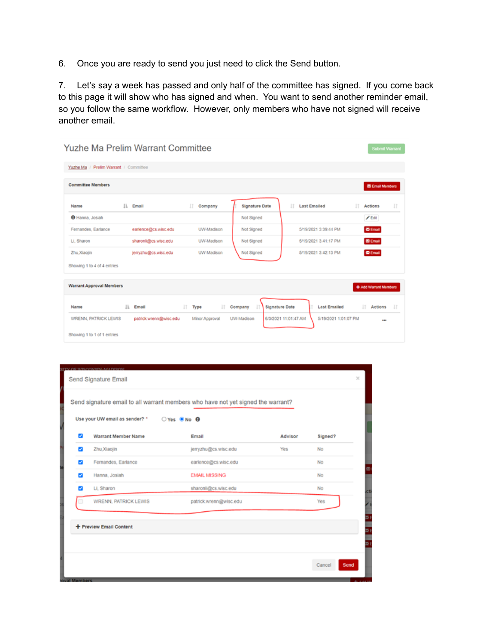6. Once you are ready to send you just need to click the Send button.

7. Let's say a week has passed and only half of the committee has signed. If you come back to this page it will show who has signed and when. You want to send another reminder email, so you follow the same workflow. However, only members who have not signed will receive another email.

|                                       |     | Yuzhe Ma Prelim Warrant Committee |     |                   |                                    |    |                      |    | <b>Submit Warrant</b>  |         |
|---------------------------------------|-----|-----------------------------------|-----|-------------------|------------------------------------|----|----------------------|----|------------------------|---------|
| Yuzhe Ma / Prelim Warrant / Committee |     |                                   |     |                   |                                    |    |                      |    |                        |         |
| <b>Committee Members</b>              |     |                                   |     |                   |                                    |    |                      |    | <b>E</b> Email Members |         |
| Name                                  | lì. | Email                             |     | 1T<br>Company     | <b>Signature Date</b>              | 11 | <b>Last Emailed</b>  | 1Ť | Actions                | 11      |
| <b>O</b> Hanna, Josiah                |     |                                   |     |                   | Not Signed                         |    |                      |    | $/ 5$ dit              |         |
| Fernandes, Earlance                   |     | earlence@cs.wisc.edu              |     | <b>UW-Madison</b> | Not Signed                         |    | 5/19/2021 3:39:44 PM |    | <b>E</b> Email         |         |
| Li, Sharon                            |     | sharonli@cs.wisc.edu              |     | UW-Madison        | Not Signed                         |    | 5/19/2021 3:41:17 PM |    | <b>E</b> Email         |         |
| Zhu Xiaojin                           |     | jerryzhu@cs.wisc.edu              |     | <b>UW-Madison</b> | Not Signed                         |    | 5/19/2021 3:42:13 PM |    | <b>E</b> Email         |         |
| Showing 1 to 4 of 4 entries           |     |                                   |     |                   |                                    |    |                      |    |                        |         |
| <b>Warrant Approval Members</b>       |     |                                   |     |                   |                                    |    |                      |    | + Add Warrant Members  |         |
| Name                                  | lì. | Email                             | IT. | Type<br>IT.       | <b>Signature Date</b><br>Company   |    | <b>Last Emailed</b>  |    | 1T<br>Actions          | $_{11}$ |
| <b>WRENN, PATRICK LEWIS</b>           |     | patrick.wrenn@wisc.edu            |     | Minor Approval    | 6/3/2021 11:01:47 AM<br>UW-Madison |    | 5/19/2021 1:01:07 PM |    |                        |         |
| Showing 1 to 1 of 1 entries           |     |                                   |     |                   |                                    |    |                      |    |                        |         |

|                          | Use your UW email as sender? * O Yes O No O |                        |         |         |
|--------------------------|---------------------------------------------|------------------------|---------|---------|
| $\overline{\mathbf{z}}$  | <b>Warrant Member Name</b>                  | Email                  | Advisor | Signed? |
| ø                        | Zhu Xiaojin                                 | jerryzhu@cs.wisc.edu   | Yes     | No      |
| ø                        | Fernandes, Earlance                         | earlence@cs.wisc.edu   |         | No      |
| ☞                        | Hanna, Josiah                               | <b>EMAIL MISSING</b>   |         | No      |
| $\overline{\mathcal{L}}$ | Li, Sharon                                  | sharonli@cs.wisc.edu   |         | No      |
|                          | WRENN, PATRICK LEWIS                        | patrick.wrenn@wisc.edu |         | Yes     |
|                          | + Preview Email Content                     |                        |         |         |